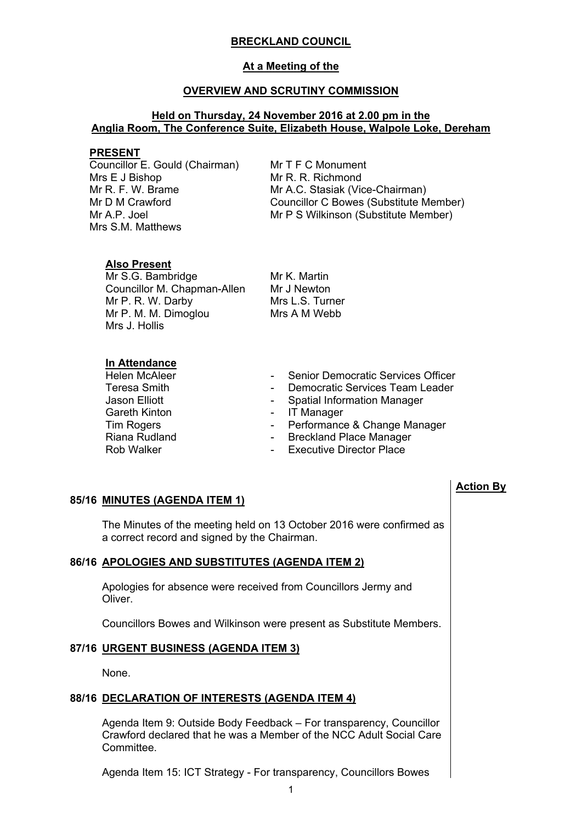## **BRECKLAND COUNCIL**

# **At a Meeting of the**

### **OVERVIEW AND SCRUTINY COMMISSION**

## **Held on Thursday, 24 November 2016 at 2.00 pm in the Anglia Room, The Conference Suite, Elizabeth House, Walpole Loke, Dereham**

#### **PRESENT**

Councillor E. Gould (Chairman) Mrs E J Bishop Mr R. F. W. Brame Mr D M Crawford Mr A.P. Joel Mrs S.M. Matthews

Mr T F C Monument Mr R. R. Richmond Mr A.C. Stasiak (Vice-Chairman) Councillor C Bowes (Substitute Member) Mr P S Wilkinson (Substitute Member)

**Action By**

# **Also Present**

Mr S.G. Bambridge Councillor M. Chapman-Allen Mr P. R. W. Darby Mr P. M. M. Dimoglou Mrs J. Hollis

Mr K. Martin Mr J Newton Mrs L.S. Turner Mrs A M Webb

# **In Attendance**

| <b>Helen McAleer</b> |            | Senior Democratic Services Officer |
|----------------------|------------|------------------------------------|
| Teresa Smith         | $\sim 100$ | Democratic Services Team Leader    |
| Jason Elliott        |            | - Spatial Information Manager      |
| <b>Gareth Kinton</b> |            | - IT Manager                       |
| <b>Tim Rogers</b>    |            | - Performance & Change Manager     |
| Riana Rudland        |            | - Breckland Place Manager          |
| Rob Walker           |            | - Executive Director Place         |

# **85/16 MINUTES (AGENDA ITEM 1)**

The Minutes of the meeting held on 13 October 2016 were confirmed as a correct record and signed by the Chairman.

# **86/16 APOLOGIES AND SUBSTITUTES (AGENDA ITEM 2)**

Apologies for absence were received from Councillors Jermy and Oliver.

Councillors Bowes and Wilkinson were present as Substitute Members.

### **87/16 URGENT BUSINESS (AGENDA ITEM 3)**

None.

#### **88/16 DECLARATION OF INTERESTS (AGENDA ITEM 4)**

Agenda Item 9: Outside Body Feedback – For transparency, Councillor Crawford declared that he was a Member of the NCC Adult Social Care **Committee.** 

Agenda Item 15: ICT Strategy - For transparency, Councillors Bowes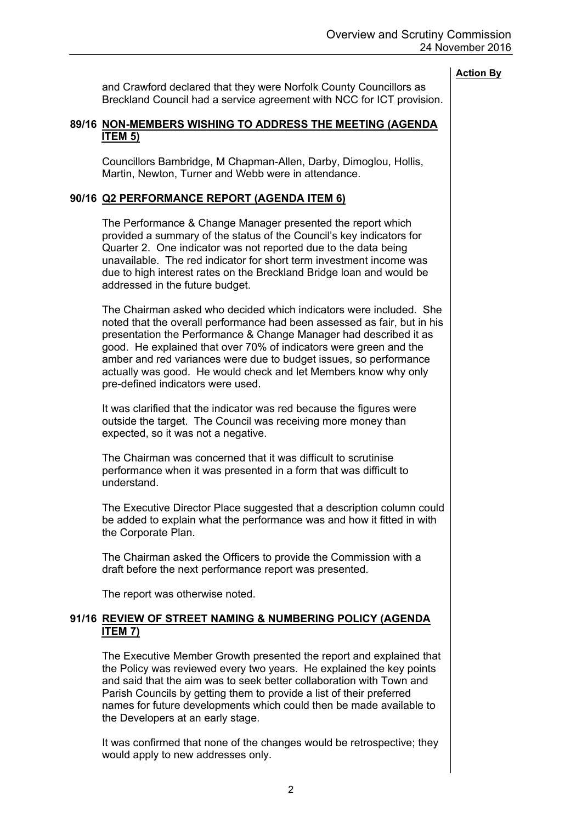and Crawford declared that they were Norfolk County Councillors as Breckland Council had a service agreement with NCC for ICT provision.

# **89/16 NON-MEMBERS WISHING TO ADDRESS THE MEETING (AGENDA ITEM 5)**

Councillors Bambridge, M Chapman-Allen, Darby, Dimoglou, Hollis, Martin, Newton, Turner and Webb were in attendance.

# **90/16 Q2 PERFORMANCE REPORT (AGENDA ITEM 6)**

The Performance & Change Manager presented the report which provided a summary of the status of the Council's key indicators for Quarter 2. One indicator was not reported due to the data being unavailable. The red indicator for short term investment income was due to high interest rates on the Breckland Bridge loan and would be addressed in the future budget.

The Chairman asked who decided which indicators were included. She noted that the overall performance had been assessed as fair, but in his presentation the Performance & Change Manager had described it as good. He explained that over 70% of indicators were green and the amber and red variances were due to budget issues, so performance actually was good. He would check and let Members know why only pre-defined indicators were used.

It was clarified that the indicator was red because the figures were outside the target. The Council was receiving more money than expected, so it was not a negative.

The Chairman was concerned that it was difficult to scrutinise performance when it was presented in a form that was difficult to understand.

The Executive Director Place suggested that a description column could be added to explain what the performance was and how it fitted in with the Corporate Plan.

The Chairman asked the Officers to provide the Commission with a draft before the next performance report was presented.

The report was otherwise noted.

# **91/16 REVIEW OF STREET NAMING & NUMBERING POLICY (AGENDA ITEM 7)**

The Executive Member Growth presented the report and explained that the Policy was reviewed every two years. He explained the key points and said that the aim was to seek better collaboration with Town and Parish Councils by getting them to provide a list of their preferred names for future developments which could then be made available to the Developers at an early stage.

It was confirmed that none of the changes would be retrospective; they would apply to new addresses only.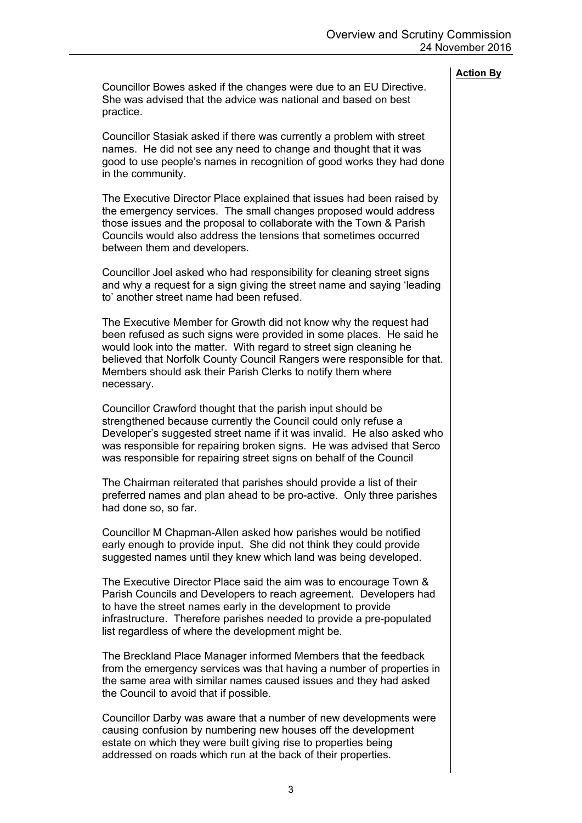Councillor Bowes asked if the changes were due to an EU Directive. She was advised that the advice was national and based on best practice.

Councillor Stasiak asked if there was currently a problem with street names. He did not see any need to change and thought that it was good to use people's names in recognition of good works they had done in the community.

The Executive Director Place explained that issues had been raised by the emergency services. The small changes proposed would address those issues and the proposal to collaborate with the Town & Parish Councils would also address the tensions that sometimes occurred between them and developers.

Councillor Joel asked who had responsibility for cleaning street signs and why a request for a sign giving the street name and saying 'leading to' another street name had been refused.

The Executive Member for Growth did not know why the request had been refused as such signs were provided in some places. He said he would look into the matter. With regard to street sign cleaning he believed that Norfolk County Council Rangers were responsible for that. Members should ask their Parish Clerks to notify them where necessary.

Councillor Crawford thought that the parish input should be strengthened because currently the Council could only refuse a Developer's suggested street name if it was invalid. He also asked who was responsible for repairing broken signs. He was advised that Serco was responsible for repairing street signs on behalf of the Council

The Chairman reiterated that parishes should provide a list of their preferred names and plan ahead to be pro-active. Only three parishes had done so, so far.

Councillor M Chapman-Allen asked how parishes would be notified early enough to provide input. She did not think they could provide suggested names until they knew which land was being developed.

The Executive Director Place said the aim was to encourage Town & Parish Councils and Developers to reach agreement. Developers had to have the street names early in the development to provide infrastructure. Therefore parishes needed to provide a pre-populated list regardless of where the development might be.

The Breckland Place Manager informed Members that the feedback from the emergency services was that having a number of properties in the same area with similar names caused issues and they had asked the Council to avoid that if possible.

Councillor Darby was aware that a number of new developments were causing confusion by numbering new houses off the development estate on which they were built giving rise to properties being addressed on roads which run at the back of their properties.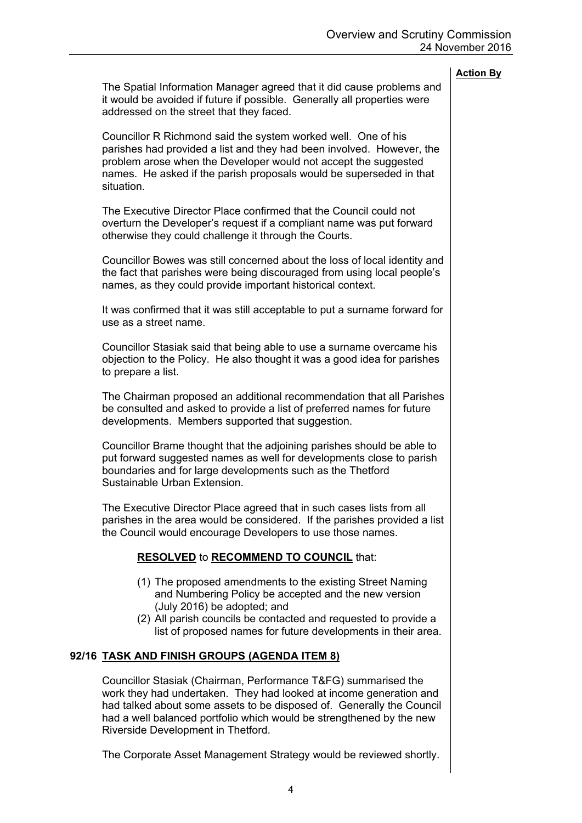The Spatial Information Manager agreed that it did cause problems and it would be avoided if future if possible. Generally all properties were addressed on the street that they faced.

Councillor R Richmond said the system worked well. One of his parishes had provided a list and they had been involved. However, the problem arose when the Developer would not accept the suggested names. He asked if the parish proposals would be superseded in that situation.

The Executive Director Place confirmed that the Council could not overturn the Developer's request if a compliant name was put forward otherwise they could challenge it through the Courts.

Councillor Bowes was still concerned about the loss of local identity and the fact that parishes were being discouraged from using local people's names, as they could provide important historical context.

It was confirmed that it was still acceptable to put a surname forward for use as a street name.

Councillor Stasiak said that being able to use a surname overcame his objection to the Policy. He also thought it was a good idea for parishes to prepare a list.

The Chairman proposed an additional recommendation that all Parishes be consulted and asked to provide a list of preferred names for future developments. Members supported that suggestion.

Councillor Brame thought that the adjoining parishes should be able to put forward suggested names as well for developments close to parish boundaries and for large developments such as the Thetford Sustainable Urban Extension.

The Executive Director Place agreed that in such cases lists from all parishes in the area would be considered. If the parishes provided a list the Council would encourage Developers to use those names.

# **RESOLVED** to **RECOMMEND TO COUNCIL** that:

- (1) The proposed amendments to the existing Street Naming and Numbering Policy be accepted and the new version (July 2016) be adopted; and
- (2) All parish councils be contacted and requested to provide a list of proposed names for future developments in their area.

# **92/16 TASK AND FINISH GROUPS (AGENDA ITEM 8)**

Councillor Stasiak (Chairman, Performance T&FG) summarised the work they had undertaken. They had looked at income generation and had talked about some assets to be disposed of. Generally the Council had a well balanced portfolio which would be strengthened by the new Riverside Development in Thetford.

The Corporate Asset Management Strategy would be reviewed shortly.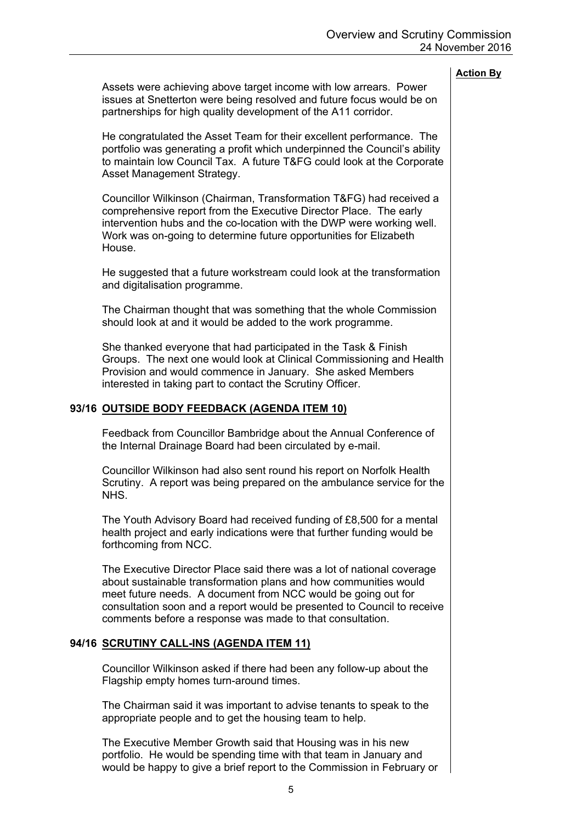Assets were achieving above target income with low arrears. Power issues at Snetterton were being resolved and future focus would be on partnerships for high quality development of the A11 corridor.

He congratulated the Asset Team for their excellent performance. The portfolio was generating a profit which underpinned the Council's ability to maintain low Council Tax. A future T&FG could look at the Corporate Asset Management Strategy.

Councillor Wilkinson (Chairman, Transformation T&FG) had received a comprehensive report from the Executive Director Place. The early intervention hubs and the co-location with the DWP were working well. Work was on-going to determine future opportunities for Elizabeth **House** 

He suggested that a future workstream could look at the transformation and digitalisation programme.

The Chairman thought that was something that the whole Commission should look at and it would be added to the work programme.

She thanked everyone that had participated in the Task & Finish Groups. The next one would look at Clinical Commissioning and Health Provision and would commence in January. She asked Members interested in taking part to contact the Scrutiny Officer.

### **93/16 OUTSIDE BODY FEEDBACK (AGENDA ITEM 10)**

Feedback from Councillor Bambridge about the Annual Conference of the Internal Drainage Board had been circulated by e-mail.

Councillor Wilkinson had also sent round his report on Norfolk Health Scrutiny. A report was being prepared on the ambulance service for the NHS.

The Youth Advisory Board had received funding of £8,500 for a mental health project and early indications were that further funding would be forthcoming from NCC.

The Executive Director Place said there was a lot of national coverage about sustainable transformation plans and how communities would meet future needs. A document from NCC would be going out for consultation soon and a report would be presented to Council to receive comments before a response was made to that consultation.

# **94/16 SCRUTINY CALL-INS (AGENDA ITEM 11)**

Councillor Wilkinson asked if there had been any follow-up about the Flagship empty homes turn-around times.

The Chairman said it was important to advise tenants to speak to the appropriate people and to get the housing team to help.

The Executive Member Growth said that Housing was in his new portfolio. He would be spending time with that team in January and would be happy to give a brief report to the Commission in February or